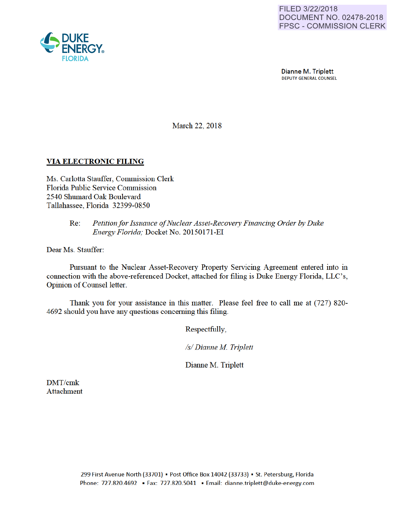

Dianne M. Triplett DEPUTY GENERAL COUNSEL

March 22, 2018

## VIA ELECTRONIC FILING

Ms. Carlotta Stauffer, Commission Clerk Florida Public Service Commission 2540 Shumard Oak Boulevard Tallahassee, Florida 32399-0850

## Re: *Petition for Issuance of Nuclear Asset-Recovery Financing Order by Duke Energy Florida;* Docket No. 20150171-EI

Dear Ms. Stauffer:

Pursuant to the Nuclear Asset-Recovery Property Servicing Agreement entered into in connection with the above-referenced Docket, attached for filing is Duke Energy Florida, LLC's, Opinion of Counsel letter.

Thank you for your assistance in this matter. Please feel free to call me at (727) 820- 4692 should you have any questions conceming this filing.

Respectfully,

*Is/ Dianne M Triplett* 

Dianne M. Triplett

DMT/cmk Attachment

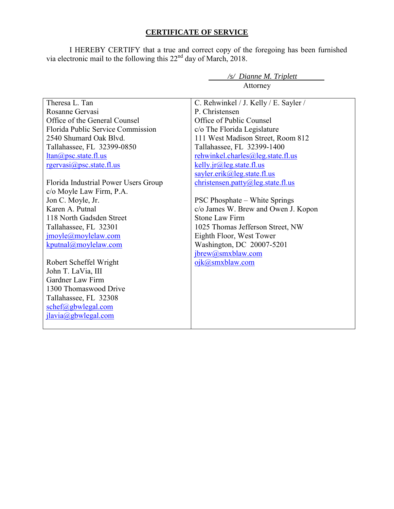## **CERTIFICATE OF SERVICE**

I HEREBY CERTIFY that a true and correct copy of the foregoing has been furnished via electronic mail to the following this 22<sup>nd</sup> day of March, 2018.

*/s/ Dianne M. Triplett* 

|                                      | Attorney                                                |
|--------------------------------------|---------------------------------------------------------|
| Theresa L. Tan                       |                                                         |
| Rosanne Gervasi                      | C. Rehwinkel / J. Kelly / E. Sayler /<br>P. Christensen |
|                                      |                                                         |
| Office of the General Counsel        | Office of Public Counsel                                |
| Florida Public Service Commission    | c/o The Florida Legislature                             |
| 2540 Shumard Oak Blvd.               | 111 West Madison Street, Room 812                       |
| Tallahassee, FL 32399-0850           | Tallahassee, FL 32399-1400                              |
| $ltan(a)$ psc.state.fl.us            | rehwinkel.charles@leg.state.fl.us                       |
| $rgervasi(a)psc statef flux$         | kelly.jr $@$ leg.state.fl.us                            |
|                                      | sayler.erik@leg.state.fl.us                             |
| Florida Industrial Power Users Group | christensen.patty@leg.state.fl.us                       |
| c/o Moyle Law Firm, P.A.             |                                                         |
| Jon C. Moyle, Jr.                    | <b>PSC Phosphate – White Springs</b>                    |
| Karen A. Putnal                      | c/o James W. Brew and Owen J. Kopon                     |
| 118 North Gadsden Street             | <b>Stone Law Firm</b>                                   |
| Tallahassee, FL 32301                | 1025 Thomas Jefferson Street, NW                        |
| jmoyle@moylelaw.com                  | Eighth Floor, West Tower                                |
| kputnal@moylelaw.com                 | Washington, DC 20007-5201                               |
|                                      | jbrew@smxblaw.com                                       |
| Robert Scheffel Wright               | ojk@smxblaw.com                                         |
| John T. LaVia, III                   |                                                         |
| Gardner Law Firm                     |                                                         |
| 1300 Thomaswood Drive                |                                                         |
| Tallahassee, FL 32308                |                                                         |
| $\text{schef}(a)$ gbwlegal.com       |                                                         |
| jlavia@gbwlegal.com                  |                                                         |
|                                      |                                                         |
|                                      |                                                         |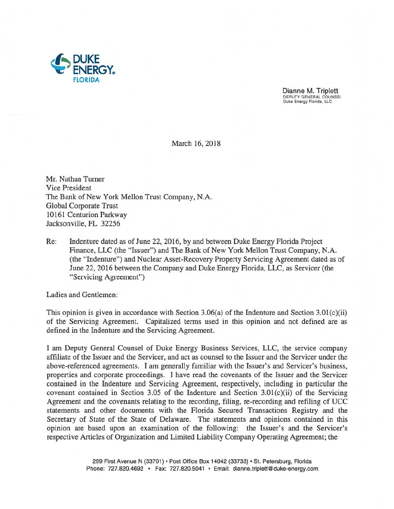

Dianne M. Triplett DEPUTY GENERAL COUNSEl Duke Energy Florida, LLC

March 16, 2018

Mr. Nathan Turner Vice President The Bank of New York Mellon Trust Company, N.A. Global Corporate Trust 10161 Centurion Parkway Jacksonville, FL 32256

Re: Indenture dated as of June 22, 2016, by and between Duke Energy Florida Project Finance, LLC (the "Issuer") and The Bank of New York Mellon Trust Company, N.A. (the "Indenture") and Nuclear Asset-Recovery Property Servicing Agreement dated as of June 22, 2016 between the Company and Duke Energy Florida, LLC, as Servicer (the "Servicing Agreement")

Ladies and Gentlemen:

This opinion is given in accordance with Section 3.06(a) of the Indenture and Section 3.01(c)(ii) of the Servicing Agreement. Capitalized terms used in this opinion and not defined are as defined in the Indenture and the Servicing Agreement.

I am Deputy General Counsel of Duke Energy Business Services, LLC, the service company affiliate of the Issuer and the Servicer, and act as counsel to the Issuer and the Servicer under the above-referenced agreements. I am generally familiar with the Issuer's and Servicer's business, properties and corporate proceedings. I have read the covenants of the Issuer and the Servicer contained in the Indenture and Servicing Agreement, respectively, including in particular the covenant contained in Section 3.05 of the Indenture and Section 3.01(c)(ii) of the Servicing Agreement and the covenants relating to the recording, filing, re-recording and refiling of UCC statements and other documents with the Florida Secured Transactions Registry and the Secretary of State of the State of Delaware. The statements and opinions contained in this opinion are based upon an examination of the following: the Issuer's and the Servicer's respective Articles of Organization and Limited Liability Company Operating Agreement; the